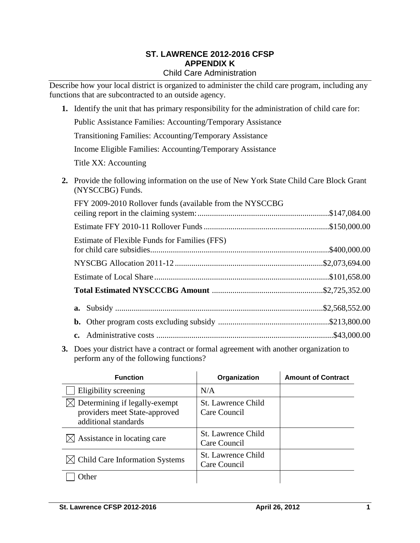#### **ST. LAWRENCE 2012-2016 CFSP APPENDIX K** Child Care Administration

Describe how your local district is organized to administer the child care program, including any functions that are subcontracted to an outside agency.

**1.** Identify the unit that has primary responsibility for the administration of child care for: Public Assistance Families: Accounting/Temporary Assistance Transitioning Families: Accounting/Temporary Assistance Income Eligible Families: Accounting/Temporary Assistance Title XX: Accounting **2.** Provide the following information on the use of New York State Child Care Block Grant (NYSCCBG) Funds. FFY 2009-2010 Rollover funds (available from the NYSCCBG ceiling report in the claiming system:................................................................\$147,084.00 Estimate FFY 2010-11 Rollover Funds.............................................................\$150,000.00

|  | Estimate of Flexible Funds for Families (FFS) |  |  |
|--|-----------------------------------------------|--|--|
|  |                                               |  |  |
|  |                                               |  |  |
|  |                                               |  |  |
|  |                                               |  |  |
|  |                                               |  |  |
|  |                                               |  |  |

**3.** Does your district have a contract or formal agreement with another organization to perform any of the following functions?

| <b>Function</b>                                                                        | Organization                              | <b>Amount of Contract</b> |
|----------------------------------------------------------------------------------------|-------------------------------------------|---------------------------|
| Eligibility screening                                                                  | N/A                                       |                           |
| Determining if legally-exempt<br>providers meet State-approved<br>additional standards | <b>St. Lawrence Child</b><br>Care Council |                           |
| $\bowtie$ Assistance in locating care                                                  | <b>St. Lawrence Child</b><br>Care Council |                           |
| $\bowtie$ Child Care Information Systems                                               | <b>St. Lawrence Child</b><br>Care Council |                           |
| <b>Ither</b>                                                                           |                                           |                           |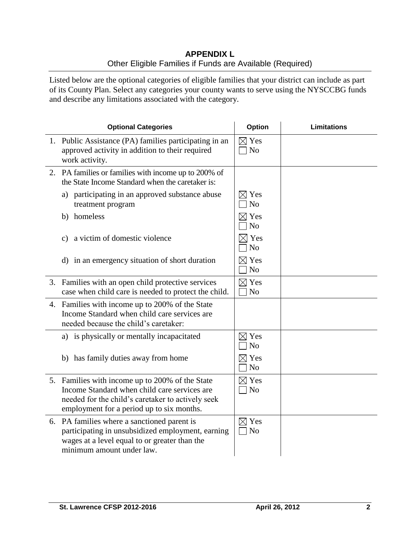## **APPENDIX L** Other Eligible Families if Funds are Available (Required)

Listed below are the optional categories of eligible families that your district can include as part of its County Plan. Select any categories your county wants to serve using the NYSCCBG funds and describe any limitations associated with the category.

| <b>Optional Categories</b>                                                                                                                                                                        | <b>Option</b>                     | <b>Limitations</b> |
|---------------------------------------------------------------------------------------------------------------------------------------------------------------------------------------------------|-----------------------------------|--------------------|
| 1. Public Assistance (PA) families participating in an<br>approved activity in addition to their required<br>work activity.                                                                       | $\boxtimes$ Yes<br>N <sub>o</sub> |                    |
| 2. PA families or families with income up to 200% of<br>the State Income Standard when the caretaker is:                                                                                          |                                   |                    |
| a) participating in an approved substance abuse<br>treatment program                                                                                                                              | $\boxtimes$ Yes<br>N <sub>o</sub> |                    |
| b) homeless                                                                                                                                                                                       | $\boxtimes$ Yes<br>N <sub>o</sub> |                    |
| a victim of domestic violence<br>C)                                                                                                                                                               | $\times$ Yes<br>N <sub>o</sub>    |                    |
| d) in an emergency situation of short duration                                                                                                                                                    | $\boxtimes$ Yes<br>N <sub>o</sub> |                    |
| 3. Families with an open child protective services<br>case when child care is needed to protect the child.                                                                                        | $\boxtimes$ Yes<br>$\exists$ No   |                    |
| 4. Families with income up to 200% of the State<br>Income Standard when child care services are<br>needed because the child's caretaker:                                                          |                                   |                    |
| a) is physically or mentally incapacitated                                                                                                                                                        | $\boxtimes$ Yes<br>N <sub>o</sub> |                    |
| b) has family duties away from home                                                                                                                                                               | $\boxtimes$ Yes<br>N <sub>o</sub> |                    |
| 5. Families with income up to 200% of the State<br>Income Standard when child care services are<br>needed for the child's caretaker to actively seek<br>employment for a period up to six months. | $\boxtimes$ Yes<br>N <sub>o</sub> |                    |
| 6. PA families where a sanctioned parent is<br>participating in unsubsidized employment, earning<br>wages at a level equal to or greater than the<br>minimum amount under law.                    | $\boxtimes$ Yes<br>$\neg$ No      |                    |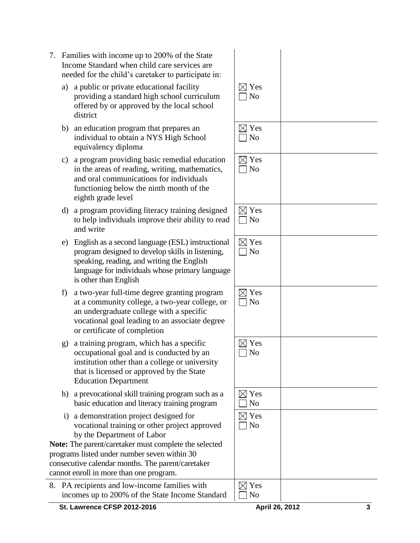- 7. Families with income up to 200% of the State Income Standard when child care services are needed for the child's caretaker to participate in:
	- a) a public or private educational facility providing a standard high school curriculum offered by or approved by the local school district
	- b) an education program that prepares an individual to obtain a NYS High School equivalency diploma
	- c) a program providing basic remedial education in the areas of reading, writing, mathematics, and oral communications for individuals functioning below the ninth month of the eighth grade level
	- d) a program providing literacy training designed to help individuals improve their ability to read and write
	- e) English as a second language (ESL) instructional program designed to develop skills in listening, speaking, reading, and writing the English language for individuals whose primary language is other than English
	- f) a two-year full-time degree granting program at a community college, a two-year college, or an undergraduate college with a specific vocational goal leading to an associate degree or certificate of completion
	- g) a training program, which has a specific occupational goal and is conducted by an institution other than a college or university that is licensed or approved by the State Education Department
	- h) a prevocational skill training program such as a basic education and literacy training program
	- i) a demonstration project designed for vocational training or other project approved by the Department of Labor

**Note:** The parent/caretaker must complete the selected programs listed under number seven within 30 consecutive calendar months. The parent/caretaker cannot enroll in more than one program.

8. PA recipients and low-income families with incomes up to 200% of the State Income Standard

| $\boxtimes$ Yes<br>$\Box$ No      |  |
|-----------------------------------|--|
| $\boxtimes$ Yes<br>$\Box$ No      |  |
| $\boxtimes$ Yes $\Box$ No         |  |
| $\boxtimes$ Yes<br>$\Box$ No      |  |
| $\boxtimes$ Yes<br>$\Box$ No      |  |
| $\boxtimes$ Yes<br>$\Box$ No      |  |
| $\boxtimes$ Yes<br>N <sub>o</sub> |  |
| $\boxtimes$ Yes<br>N <sub>0</sub> |  |
| $\boxtimes$ Yes<br>$\Box$ No      |  |
| $\boxtimes$ Yes<br>N <sub>0</sub> |  |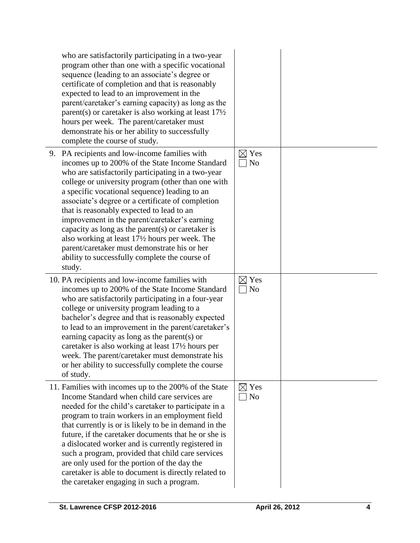| who are satisfactorily participating in a two-year<br>program other than one with a specific vocational<br>sequence (leading to an associate's degree or<br>certificate of completion and that is reasonably<br>expected to lead to an improvement in the<br>parent/caretaker's earning capacity) as long as the<br>parent(s) or caretaker is also working at least $17\frac{1}{2}$<br>hours per week. The parent/caretaker must<br>demonstrate his or her ability to successfully<br>complete the course of study.                                                                                                                |                                   |  |
|------------------------------------------------------------------------------------------------------------------------------------------------------------------------------------------------------------------------------------------------------------------------------------------------------------------------------------------------------------------------------------------------------------------------------------------------------------------------------------------------------------------------------------------------------------------------------------------------------------------------------------|-----------------------------------|--|
| 9. PA recipients and low-income families with<br>incomes up to 200% of the State Income Standard<br>who are satisfactorily participating in a two-year<br>college or university program (other than one with<br>a specific vocational sequence) leading to an<br>associate's degree or a certificate of completion<br>that is reasonably expected to lead to an<br>improvement in the parent/caretaker's earning<br>capacity as long as the parent(s) or caretaker is<br>also working at least 17½ hours per week. The<br>parent/caretaker must demonstrate his or her<br>ability to successfully complete the course of<br>study. | $\boxtimes$ Yes<br>No             |  |
| 10. PA recipients and low-income families with<br>incomes up to 200% of the State Income Standard<br>who are satisfactorily participating in a four-year<br>college or university program leading to a<br>bachelor's degree and that is reasonably expected<br>to lead to an improvement in the parent/caretaker's<br>earning capacity as long as the parent(s) or<br>caretaker is also working at least 17½ hours per<br>week. The parent/caretaker must demonstrate his<br>or her ability to successfully complete the course<br>of study.                                                                                       | $\boxtimes$ Yes<br>N <sub>o</sub> |  |
| 11. Families with incomes up to the 200% of the State<br>Income Standard when child care services are<br>needed for the child's caretaker to participate in a<br>program to train workers in an employment field<br>that currently is or is likely to be in demand in the<br>future, if the caretaker documents that he or she is<br>a dislocated worker and is currently registered in<br>such a program, provided that child care services<br>are only used for the portion of the day the<br>caretaker is able to document is directly related to<br>the caretaker engaging in such a program.                                  | $\boxtimes$ Yes<br>No             |  |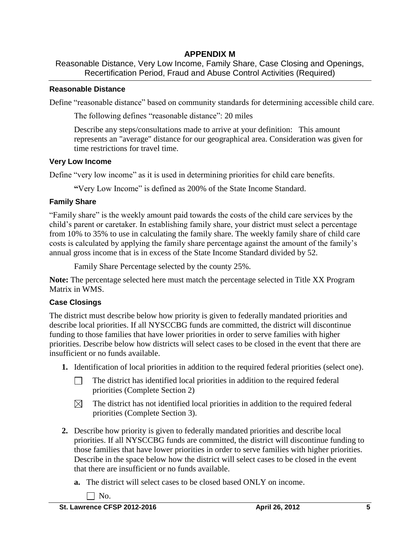# **APPENDIX M**

Reasonable Distance, Very Low Income, Family Share, Case Closing and Openings, Recertification Period, Fraud and Abuse Control Activities (Required)

### **Reasonable Distance**

Define "reasonable distance" based on community standards for determining accessible child care.

The following defines "reasonable distance": 20 miles

Describe any steps/consultations made to arrive at your definition: This amount represents an "average" distance for our geographical area. Consideration was given for time restrictions for travel time.

## **Very Low Income**

Define "very low income" as it is used in determining priorities for child care benefits.

**"**Very Low Income" is defined as 200% of the State Income Standard.

# **Family Share**

"Family share" is the weekly amount paid towards the costs of the child care services by the child's parent or caretaker. In establishing family share, your district must select a percentage from 10% to 35% to use in calculating the family share. The weekly family share of child care costs is calculated by applying the family share percentage against the amount of the family's annual gross income that is in excess of the State Income Standard divided by 52.

Family Share Percentage selected by the county 25%.

**Note:** The percentage selected here must match the percentage selected in Title XX Program Matrix in WMS.

# **Case Closings**

The district must describe below how priority is given to federally mandated priorities and describe local priorities. If all NYSCCBG funds are committed, the district will discontinue funding to those families that have lower priorities in order to serve families with higher priorities. Describe below how districts will select cases to be closed in the event that there are insufficient or no funds available.

- **1.** Identification of local priorities in addition to the required federal priorities (select one).
	- The district has identified local priorities in addition to the required federal  $\Box$ priorities (Complete Section 2)
	- The district has not identified local priorities in addition to the required federal  $\boxtimes$ priorities (Complete Section 3).
- **2.** Describe how priority is given to federally mandated priorities and describe local priorities. If all NYSCCBG funds are committed, the district will discontinue funding to those families that have lower priorities in order to serve families with higher priorities. Describe in the space below how the district will select cases to be closed in the event that there are insufficient or no funds available.
	- **a.** The district will select cases to be closed based ONLY on income.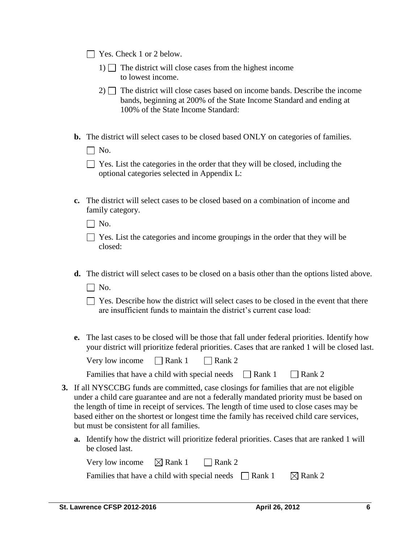|  |  |  | $\Box$ Yes. Check 1 or 2 below. |  |  |
|--|--|--|---------------------------------|--|--|
|--|--|--|---------------------------------|--|--|

- 1)  $\Box$  The district will close cases from the highest income to lowest income.
- $2)$  The district will close cases based on income bands. Describe the income bands, beginning at 200% of the State Income Standard and ending at 100% of the State Income Standard:
- **b.** The district will select cases to be closed based ONLY on categories of families.
	- $\Box$  No.
	- $\Box$  Yes. List the categories in the order that they will be closed, including the optional categories selected in Appendix L:
- **c.** The district will select cases to be closed based on a combination of income and family category.

 $\Box$  No.

| $\Box$ Yes. List the categories and income groupings in the order that they will be |  |  |
|-------------------------------------------------------------------------------------|--|--|
| closed:                                                                             |  |  |

- **d.** The district will select cases to be closed on a basis other than the options listed above.
	- $\Box$  No.
	- $\Box$  Yes. Describe how the district will select cases to be closed in the event that there are insufficient funds to maintain the district's current case load:
- **e.** The last cases to be closed will be those that fall under federal priorities. Identify how your district will prioritize federal priorities. Cases that are ranked 1 will be closed last.

| Very low income | $\Box$ Rank 1 | $\Box$ Rank 2 |
|-----------------|---------------|---------------|
|-----------------|---------------|---------------|

| Families that have a child with special needs | $\Box$ Rank 1 | $\Box$ Rank 2 |
|-----------------------------------------------|---------------|---------------|
|-----------------------------------------------|---------------|---------------|

- **3.** If all NYSCCBG funds are committed, case closings for families that are not eligible under a child care guarantee and are not a federally mandated priority must be based on the length of time in receipt of services. The length of time used to close cases may be based either on the shortest or longest time the family has received child care services, but must be consistent for all families.
	- **a.** Identify how the district will prioritize federal priorities. Cases that are ranked 1 will be closed last.

| Very low income $\boxtimes$ Rank 1                          | $\Box$ Rank 2 |                    |
|-------------------------------------------------------------|---------------|--------------------|
| Families that have a child with special needs $\Box$ Rank 1 |               | $\boxtimes$ Rank 2 |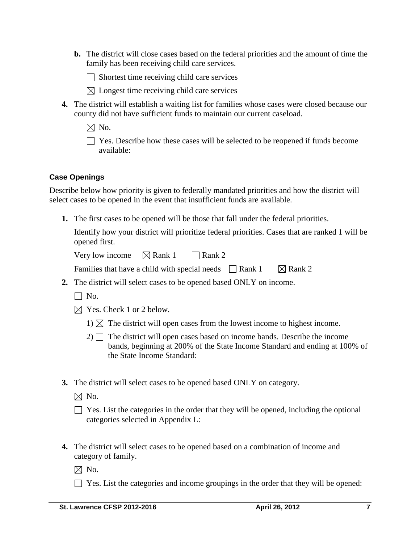**b.** The district will close cases based on the federal priorities and the amount of time the family has been receiving child care services.

 $\Box$  Shortest time receiving child care services

- $\boxtimes$  Longest time receiving child care services
- **4.** The district will establish a waiting list for families whose cases were closed because our county did not have sufficient funds to maintain our current caseload.
	- $\boxtimes$  No.

 $\Box$  Yes. Describe how these cases will be selected to be reopened if funds become available:

### **Case Openings**

Describe below how priority is given to federally mandated priorities and how the district will select cases to be opened in the event that insufficient funds are available.

**1.** The first cases to be opened will be those that fall under the federal priorities.

Identify how your district will prioritize federal priorities. Cases that are ranked 1 will be opened first.

Very low income  $\Box$  Rank 1  $\Box$  Rank 2

| Families that have a child with special needs $\Box$ Rank 1 |  | $\boxtimes$ Rank 2 |
|-------------------------------------------------------------|--|--------------------|
|-------------------------------------------------------------|--|--------------------|

- **2.** The district will select cases to be opened based ONLY on income.
	- $\Box$  No.
	- $\boxtimes$  Yes. Check 1 or 2 below.
		- 1)  $\boxtimes$  The district will open cases from the lowest income to highest income.
		- $2)$  The district will open cases based on income bands. Describe the income bands, beginning at 200% of the State Income Standard and ending at 100% of the State Income Standard:
- **3.** The district will select cases to be opened based ONLY on category.
	- $\boxtimes$  No.

| $\Box$ Yes. List the categories in the order that they will be opened, including the optional |  |  |  |
|-----------------------------------------------------------------------------------------------|--|--|--|
| categories selected in Appendix L:                                                            |  |  |  |

**4.** The district will select cases to be opened based on a combination of income and category of family.

 $\boxtimes$  No.

 $\Box$  Yes. List the categories and income groupings in the order that they will be opened: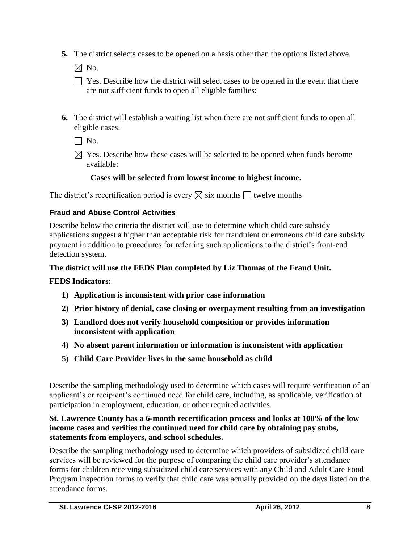**5.** The district selects cases to be opened on a basis other than the options listed above.

 $\boxtimes$  No.

- $\Box$  Yes. Describe how the district will select cases to be opened in the event that there are not sufficient funds to open all eligible families:
- **6.** The district will establish a waiting list when there are not sufficient funds to open all eligible cases.

 $\Box$  No.

 $\boxtimes$  Yes. Describe how these cases will be selected to be opened when funds become available:

# **Cases will be selected from lowest income to highest income.**

The district's recertification period is every  $\boxtimes$  six months  $\Box$  twelve months

## **Fraud and Abuse Control Activities**

Describe below the criteria the district will use to determine which child care subsidy applications suggest a higher than acceptable risk for fraudulent or erroneous child care subsidy payment in addition to procedures for referring such applications to the district's front-end detection system.

## **The district will use the FEDS Plan completed by Liz Thomas of the Fraud Unit.**

### **FEDS Indicators:**

- **1) Application is inconsistent with prior case information**
- **2) Prior history of denial, case closing or overpayment resulting from an investigation**
- **3) Landlord does not verify household composition or provides information inconsistent with application**
- **4) No absent parent information or information is inconsistent with application**
- 5) **Child Care Provider lives in the same household as child**

Describe the sampling methodology used to determine which cases will require verification of an applicant's or recipient's continued need for child care, including, as applicable, verification of participation in employment, education, or other required activities.

### **St. Lawrence County has a 6-month recertification process and looks at 100% of the low income cases and verifies the continued need for child care by obtaining pay stubs, statements from employers, and school schedules.**

Describe the sampling methodology used to determine which providers of subsidized child care services will be reviewed for the purpose of comparing the child care provider's attendance forms for children receiving subsidized child care services with any Child and Adult Care Food Program inspection forms to verify that child care was actually provided on the days listed on the attendance forms.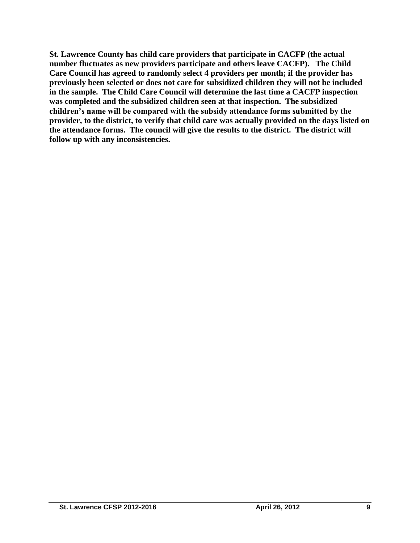**St. Lawrence County has child care providers that participate in CACFP (the actual number fluctuates as new providers participate and others leave CACFP). The Child Care Council has agreed to randomly select 4 providers per month; if the provider has previously been selected or does not care for subsidized children they will not be included in the sample. The Child Care Council will determine the last time a CACFP inspection was completed and the subsidized children seen at that inspection. The subsidized children's name will be compared with the subsidy attendance forms submitted by the provider, to the district, to verify that child care was actually provided on the days listed on the attendance forms. The council will give the results to the district. The district will follow up with any inconsistencies.**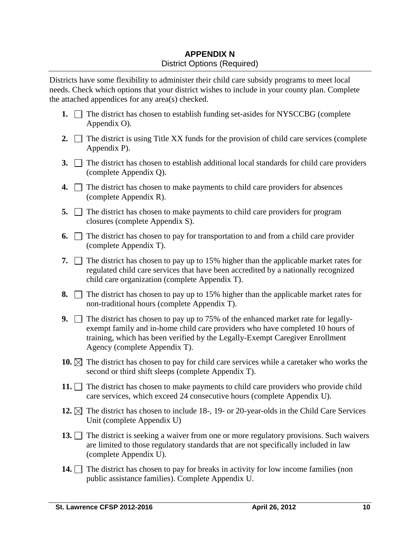# **APPENDIX N** District Options (Required)

Districts have some flexibility to administer their child care subsidy programs to meet local needs. Check which options that your district wishes to include in your county plan. Complete the attached appendices for any area(s) checked.

- **1.**  $\Box$  The district has chosen to establish funding set-asides for NYSCCBG (complete Appendix O).
- **2.**  $\Box$  The district is using Title XX funds for the provision of child care services (complete Appendix P).
- **3.** The district has chosen to establish additional local standards for child care providers (complete Appendix Q).
- **4.** The district has chosen to make payments to child care providers for absences (complete Appendix R).
- **5.** The district has chosen to make payments to child care providers for program closures (complete Appendix S).
- **6.**  $\Box$  The district has chosen to pay for transportation to and from a child care provider (complete Appendix T).
- **7.**  $\Box$  The district has chosen to pay up to 15% higher than the applicable market rates for regulated child care services that have been accredited by a nationally recognized child care organization (complete Appendix T).
- **8.**  $\Box$  The district has chosen to pay up to 15% higher than the applicable market rates for non-traditional hours (complete Appendix T).
- **9.** The district has chosen to pay up to 75% of the enhanced market rate for legallyexempt family and in-home child care providers who have completed 10 hours of training, which has been verified by the Legally-Exempt Caregiver Enrollment Agency (complete Appendix T).
- **10.**  $\boxtimes$  The district has chosen to pay for child care services while a caretaker who works the second or third shift sleeps (complete Appendix T).
- **11.**  $\Box$  The district has chosen to make payments to child care providers who provide child care services, which exceed 24 consecutive hours (complete Appendix U).
- **12.**  $\boxtimes$  The district has chosen to include 18-, 19- or 20-year-olds in the Child Care Services Unit (complete Appendix U)
- **13.** The district is seeking a waiver from one or more regulatory provisions. Such waivers are limited to those regulatory standards that are not specifically included in law (complete Appendix U).
- **14.** The district has chosen to pay for breaks in activity for low income families (non public assistance families). Complete Appendix U.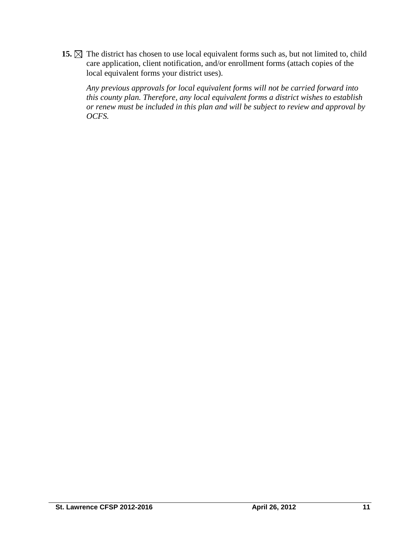15.  $\boxtimes$  The district has chosen to use local equivalent forms such as, but not limited to, child care application, client notification, and/or enrollment forms (attach copies of the local equivalent forms your district uses).

*Any previous approvals for local equivalent forms will not be carried forward into this county plan. Therefore, any local equivalent forms a district wishes to establish or renew must be included in this plan and will be subject to review and approval by OCFS.*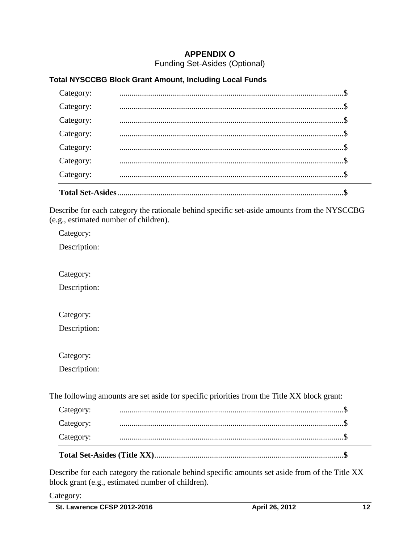## **APPENDIX O** Funding Set-Asides (Optional)

#### **Total NYSCCBG Block Grant Amount, Including Local Funds**

| <b>Total Set-Asides</b> |  |  |
|-------------------------|--|--|
| Category:               |  |  |
| Category:               |  |  |
| Category:               |  |  |
| Category:               |  |  |
| Category:               |  |  |
| Category:               |  |  |
| Category:               |  |  |

Describe for each category the rationale behind specific set-aside amounts from the NYSCCBG (e.g., estimated number of children).

Category:

Description:

Category:

Description:

Category:

Description:

Category:

Description:

The following amounts are set aside for specific priorities from the Title XX block grant:

| Category: |  |
|-----------|--|
| Category: |  |
| Category: |  |

Describe for each category the rationale behind specific amounts set aside from of the Title XX block grant (e.g., estimated number of children).

Category: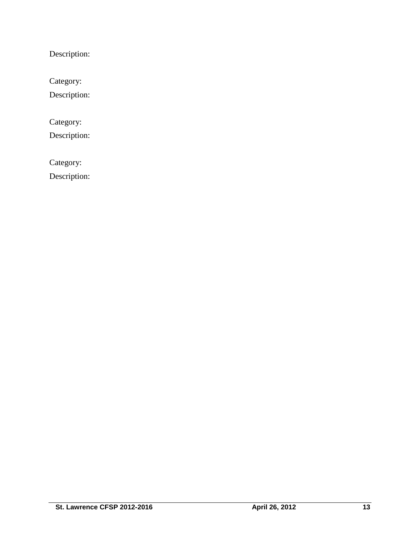Description:

Category:

Description:

Category:

Description:

Category:

Description: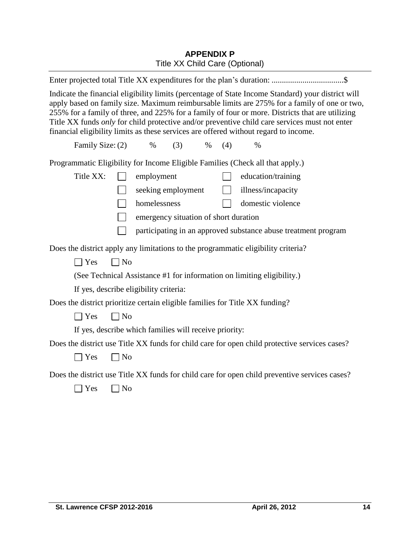# **APPENDIX P** Title XX Child Care (Optional)

| Indicate the financial eligibility limits (percentage of State Income Standard) your district will<br>apply based on family size. Maximum reimbursable limits are 275% for a family of one or two,<br>255% for a family of three, and 225% for a family of four or more. Districts that are utilizing<br>Title XX funds only for child protective and/or preventive child care services must not enter<br>financial eligibility limits as these services are offered without regard to income. |  |  |
|------------------------------------------------------------------------------------------------------------------------------------------------------------------------------------------------------------------------------------------------------------------------------------------------------------------------------------------------------------------------------------------------------------------------------------------------------------------------------------------------|--|--|
| Family Size: (2)<br>$\%$<br>(3)<br>$\%$<br>(4)<br>$\%$                                                                                                                                                                                                                                                                                                                                                                                                                                         |  |  |
| Programmatic Eligibility for Income Eligible Families (Check all that apply.)                                                                                                                                                                                                                                                                                                                                                                                                                  |  |  |
| Title XX:<br>employment<br>education/training                                                                                                                                                                                                                                                                                                                                                                                                                                                  |  |  |
| seeking employment<br>illness/incapacity<br>$\mathbb{R}^n$                                                                                                                                                                                                                                                                                                                                                                                                                                     |  |  |
| homelessness<br>domestic violence                                                                                                                                                                                                                                                                                                                                                                                                                                                              |  |  |
| emergency situation of short duration                                                                                                                                                                                                                                                                                                                                                                                                                                                          |  |  |
| participating in an approved substance abuse treatment program                                                                                                                                                                                                                                                                                                                                                                                                                                 |  |  |
| Does the district apply any limitations to the programmatic eligibility criteria?                                                                                                                                                                                                                                                                                                                                                                                                              |  |  |
| $\Box$ Yes<br>$\Box$ No                                                                                                                                                                                                                                                                                                                                                                                                                                                                        |  |  |
| (See Technical Assistance #1 for information on limiting eligibility.)                                                                                                                                                                                                                                                                                                                                                                                                                         |  |  |
| If yes, describe eligibility criteria:                                                                                                                                                                                                                                                                                                                                                                                                                                                         |  |  |
| Does the district prioritize certain eligible families for Title XX funding?                                                                                                                                                                                                                                                                                                                                                                                                                   |  |  |
| $\sqcap$ Yes<br>$\neg$ No                                                                                                                                                                                                                                                                                                                                                                                                                                                                      |  |  |
| If yes, describe which families will receive priority:                                                                                                                                                                                                                                                                                                                                                                                                                                         |  |  |
| Does the district use Title XX funds for child care for open child protective services cases?                                                                                                                                                                                                                                                                                                                                                                                                  |  |  |
| $\Box$ No<br>$\exists$ Yes                                                                                                                                                                                                                                                                                                                                                                                                                                                                     |  |  |
| Does the district use Title XX funds for child care for open child preventive services cases?                                                                                                                                                                                                                                                                                                                                                                                                  |  |  |
| Yes<br>N <sub>o</sub>                                                                                                                                                                                                                                                                                                                                                                                                                                                                          |  |  |
|                                                                                                                                                                                                                                                                                                                                                                                                                                                                                                |  |  |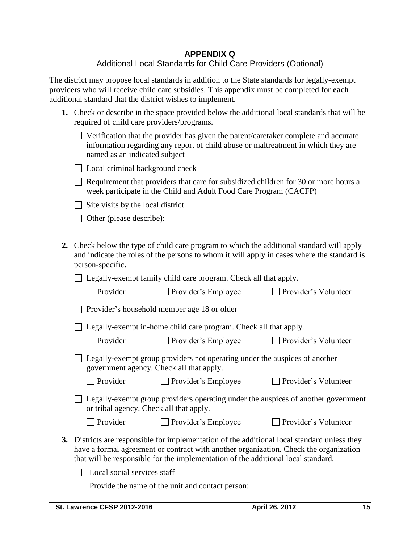The district may propose local standards in addition to the State standards for legally-exempt providers who will receive child care subsidies. This appendix must be completed for **each** additional standard that the district wishes to implement.

| 1. Check or describe in the space provided below the additional local standards that will be |
|----------------------------------------------------------------------------------------------|
| required of child care providers/programs.                                                   |

| $\Box$ Verification that the provider has given the parent/caretaker complete and accurate |
|--------------------------------------------------------------------------------------------|
| information regarding any report of child abuse or maltreatment in which they are          |
| named as an indicated subject                                                              |

| □ Local criminal background check |  |
|-----------------------------------|--|
|-----------------------------------|--|

 $\Box$  Requirement that providers that care for subsidized children for 30 or more hours a week participate in the Child and Adult Food Care Program (CACFP)

 $\Box$  Site visits by the local district

□ Other (please describe):

**2.** Check below the type of child care program to which the additional standard will apply and indicate the roles of the persons to whom it will apply in cases where the standard is person-specific.

 $\Box$  Legally-exempt family child care program. Check all that apply.

| $\Box$ Provider's household member age 18 or older |  |
|----------------------------------------------------|--|
|----------------------------------------------------|--|

□ Legally-exempt in-home child care program. Check all that apply.

| $\Box$ Provider | $\Box$ Provider's Emp |
|-----------------|-----------------------|
|-----------------|-----------------------|

 $\Box$  Provider's Volunteer

| $\Box$ Legally-exempt group providers not operating under the auspices of another |  |
|-----------------------------------------------------------------------------------|--|
| government agency. Check all that apply.                                          |  |

□ Provider Provider's Employee Provider's Volunteer

Legally-exempt group providers operating under the auspices of another government or tribal agency. Check all that apply.

| $\Box$ Provider | $\Box$ Provider's Employee |
|-----------------|----------------------------|
|                 |                            |

- $\Box$  Provider's Volunteer
- **3.** Districts are responsible for implementation of the additional local standard unless they have a formal agreement or contract with another organization. Check the organization that will be responsible for the implementation of the additional local standard.

 $\Box$  Local social services staff

Provide the name of the unit and contact person: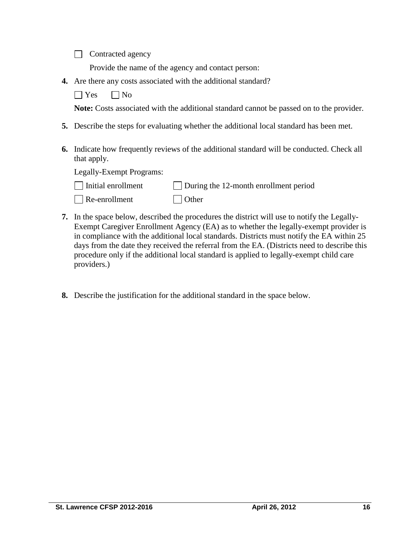Contracted agency

Provide the name of the agency and contact person:

**4.** Are there any costs associated with the additional standard?

 $\Box$  Yes  $\Box$  No

**Note:** Costs associated with the additional standard cannot be passed on to the provider.

- **5.** Describe the steps for evaluating whether the additional local standard has been met.
- **6.** Indicate how frequently reviews of the additional standard will be conducted. Check all that apply.

Legally-Exempt Programs:

| $\Box$ Initial enrollment | $\Box$ During the 12-month enrollment period |
|---------------------------|----------------------------------------------|
| $\Box$ Re-enrollment      | $\Box$ Other                                 |

- **7.** In the space below, described the procedures the district will use to notify the Legally-Exempt Caregiver Enrollment Agency (EA) as to whether the legally-exempt provider is in compliance with the additional local standards. Districts must notify the EA within 25 days from the date they received the referral from the EA. (Districts need to describe this procedure only if the additional local standard is applied to legally-exempt child care providers.)
- **8.** Describe the justification for the additional standard in the space below.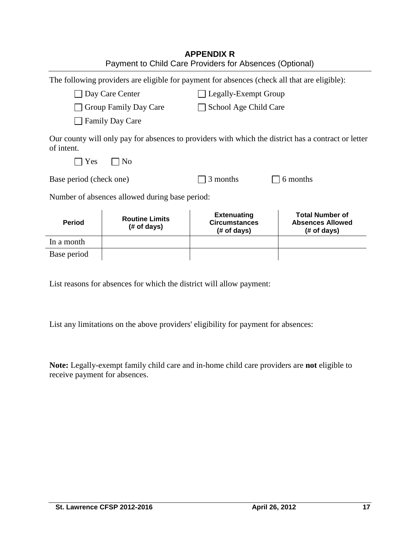|                         |                                                                                              | <b>APPENDIX R</b><br>Payment to Child Care Providers for Absences (Optional) |                                                                                                     |  |
|-------------------------|----------------------------------------------------------------------------------------------|------------------------------------------------------------------------------|-----------------------------------------------------------------------------------------------------|--|
|                         | The following providers are eligible for payment for absences (check all that are eligible): |                                                                              |                                                                                                     |  |
|                         | Day Care Center                                                                              | Legally-Exempt Group                                                         |                                                                                                     |  |
|                         | Group Family Day Care                                                                        | School Age Child Care                                                        |                                                                                                     |  |
|                         | <b>Family Day Care</b>                                                                       |                                                                              |                                                                                                     |  |
| of intent.<br>Yes       | N <sub>0</sub>                                                                               |                                                                              | Our county will only pay for absences to providers with which the district has a contract or letter |  |
| Base period (check one) |                                                                                              | 3 months<br>6 months                                                         |                                                                                                     |  |
|                         | Number of absences allowed during base period:                                               |                                                                              |                                                                                                     |  |
| <b>Period</b>           | <b>Routine Limits</b><br>(# of days)                                                         | <b>Extenuating</b><br><b>Circumstances</b><br>(# of days)                    | <b>Total Number of</b><br><b>Absences Allowed</b><br>(# of days)                                    |  |
| In a month              |                                                                                              |                                                                              |                                                                                                     |  |
| Base period             |                                                                                              |                                                                              |                                                                                                     |  |

List reasons for absences for which the district will allow payment:

List any limitations on the above providers' eligibility for payment for absences:

**Note:** Legally-exempt family child care and in-home child care providers are **not** eligible to receive payment for absences.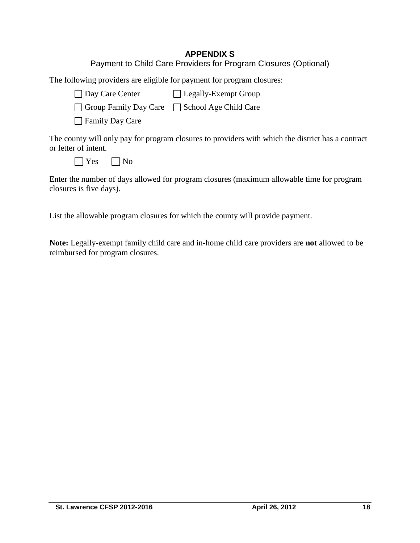| <b>APPENDIX S</b>                                               |
|-----------------------------------------------------------------|
| Payment to Child Care Providers for Program Closures (Optional) |

|  |  | The following providers are eligible for payment for program closures: |
|--|--|------------------------------------------------------------------------|
|  |  |                                                                        |

| □ Day Care Center | □ Legally-Exempt Group |
|-------------------|------------------------|
|                   |                        |

| Group Family Day Care | School Age Child Care |
|-----------------------|-----------------------|
|-----------------------|-----------------------|

**□ Family Day Care** 

The county will only pay for program closures to providers with which the district has a contract or letter of intent.

| ∼ | n |
|---|---|
|   |   |

Enter the number of days allowed for program closures (maximum allowable time for program closures is five days).

List the allowable program closures for which the county will provide payment.

**Note:** Legally-exempt family child care and in-home child care providers are **not** allowed to be reimbursed for program closures.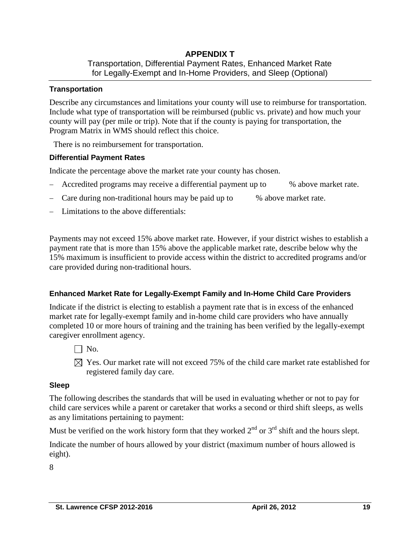#### **APPENDIX T**  Transportation, Differential Payment Rates, Enhanced Market Rate for Legally-Exempt and In-Home Providers, and Sleep (Optional)

#### **Transportation**

Describe any circumstances and limitations your county will use to reimburse for transportation. Include what type of transportation will be reimbursed (public vs. private) and how much your county will pay (per mile or trip). Note that if the county is paying for transportation, the Program Matrix in WMS should reflect this choice.

There is no reimbursement for transportation.

#### **Differential Payment Rates**

Indicate the percentage above the market rate your county has chosen.

- Accredited programs may receive a differential payment up to % above market rate.
- Care during non-traditional hours may be paid up to % above market rate.
- Limitations to the above differentials:

Payments may not exceed 15% above market rate. However, if your district wishes to establish a payment rate that is more than 15% above the applicable market rate, describe below why the 15% maximum is insufficient to provide access within the district to accredited programs and/or care provided during non-traditional hours.

#### **Enhanced Market Rate for Legally-Exempt Family and In-Home Child Care Providers**

Indicate if the district is electing to establish a payment rate that is in excess of the enhanced market rate for legally-exempt family and in-home child care providers who have annually completed 10 or more hours of training and the training has been verified by the legally-exempt caregiver enrollment agency.

- $\Box$  No.
- $\boxtimes$  Yes. Our market rate will not exceed 75% of the child care market rate established for registered family day care.

#### **Sleep**

The following describes the standards that will be used in evaluating whether or not to pay for child care services while a parent or caretaker that works a second or third shift sleeps, as wells as any limitations pertaining to payment:

Must be verified on the work history form that they worked  $2<sup>nd</sup>$  or  $3<sup>rd</sup>$  shift and the hours slept.

Indicate the number of hours allowed by your district (maximum number of hours allowed is eight).

8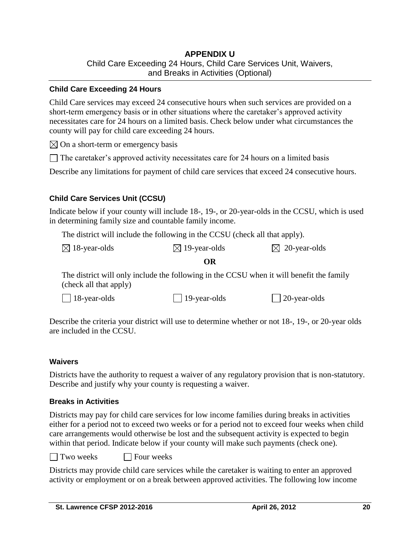## **APPENDIX U** Child Care Exceeding 24 Hours, Child Care Services Unit, Waivers, and Breaks in Activities (Optional)

#### **Child Care Exceeding 24 Hours**

Child Care services may exceed 24 consecutive hours when such services are provided on a short-term emergency basis or in other situations where the caretaker's approved activity necessitates care for 24 hours on a limited basis. Check below under what circumstances the county will pay for child care exceeding 24 hours.

 $\boxtimes$  On a short-term or emergency basis

 $\Box$  The caretaker's approved activity necessitates care for 24 hours on a limited basis

Describe any limitations for payment of child care services that exceed 24 consecutive hours.

#### **Child Care Services Unit (CCSU)**

Indicate below if your county will include 18-, 19-, or 20-year-olds in the CCSU, which is used in determining family size and countable family income.

The district will include the following in the CCSU (check all that apply).

| $\boxtimes$ 18-year-olds | $\boxtimes$ 19-year-olds | $\boxtimes$ 20-year-olds |
|--------------------------|--------------------------|--------------------------|
|--------------------------|--------------------------|--------------------------|

#### **OR**

The district will only include the following in the CCSU when it will benefit the family (check all that apply)

| $\Box$ 18-year-olds | $\Box$ 19-year-olds | $\Box$ 20-year-olds |
|---------------------|---------------------|---------------------|
|---------------------|---------------------|---------------------|

Describe the criteria your district will use to determine whether or not 18-, 19-, or 20-year olds are included in the CCSU.

#### **Waivers**

Districts have the authority to request a waiver of any regulatory provision that is non-statutory. Describe and justify why your county is requesting a waiver.

#### **Breaks in Activities**

Districts may pay for child care services for low income families during breaks in activities either for a period not to exceed two weeks or for a period not to exceed four weeks when child care arrangements would otherwise be lost and the subsequent activity is expected to begin within that period. Indicate below if your county will make such payments (check one).

 $\Box$  Two weeks  $\Box$  Four weeks

Districts may provide child care services while the caretaker is waiting to enter an approved activity or employment or on a break between approved activities. The following low income